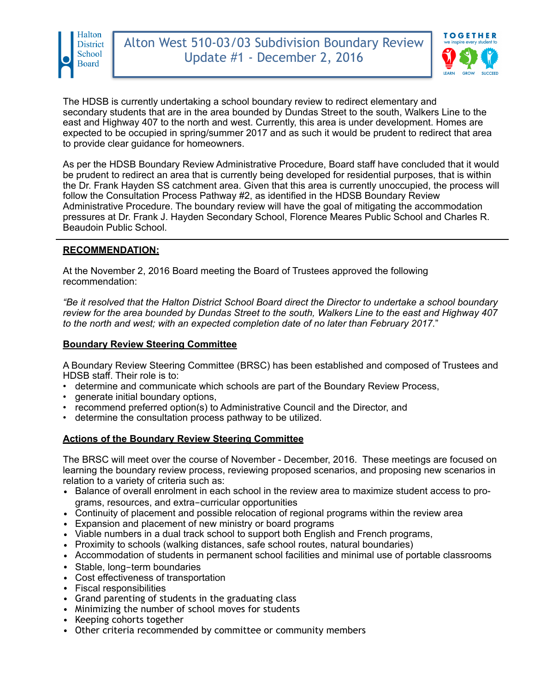



The HDSB is currently undertaking a school boundary review to redirect elementary and secondary students that are in the area bounded by Dundas Street to the south, Walkers Line to the east and Highway 407 to the north and west. Currently, this area is under development. Homes are expected to be occupied in spring/summer 2017 and as such it would be prudent to redirect that area to provide clear guidance for homeowners.

As per the HDSB Boundary Review Administrative Procedure, Board staff have concluded that it would be prudent to redirect an area that is currently being developed for residential purposes, that is within the Dr. Frank Hayden SS catchment area. Given that this area is currently unoccupied, the process will follow the Consultation Process Pathway #2, as identified in the HDSB Boundary Review Administrative Procedure. The boundary review will have the goal of mitigating the accommodation pressures at Dr. Frank J. Hayden Secondary School, Florence Meares Public School and Charles R. Beaudoin Public School.

## **RECOMMENDATION:**

At the November 2, 2016 Board meeting the Board of Trustees approved the following recommendation:

*"Be it resolved that the Halton District School Board direct the Director to undertake a school boundary review for the area bounded by Dundas Street to the south, Walkers Line to the east and Highway 407 to the north and west; with an expected completion date of no later than February 2017.*"

#### **Boundary Review Steering Committee**

A Boundary Review Steering Committee (BRSC) has been established and composed of Trustees and HDSB staff. Their role is to:

- determine and communicate which schools are part of the Boundary Review Process,
- generate initial boundary options,
- recommend preferred option(s) to Administrative Council and the Director, and
- determine the consultation process pathway to be utilized.

## **Actions of the Boundary Review Steering Committee**

The BRSC will meet over the course of November - December, 2016. These meetings are focused on learning the boundary review process, reviewing proposed scenarios, and proposing new scenarios in relation to a variety of criteria such as:

- Balance of overall enrolment in each school in the review area to maximize student access to programs, resources, and extra-curricular opportunities
- Continuity of placement and possible relocation of regional programs within the review area
- Expansion and placement of new ministry or board programs
- Viable numbers in a dual track school to support both English and French programs,
- Proximity to schools (walking distances, safe school routes, natural boundaries)
- Accommodation of students in permanent school facilities and minimal use of portable classrooms
- Stable, long-term boundaries
- Cost effectiveness of transportation
- Fiscal responsibilities
- Grand parenting of students in the graduating class
- Minimizing the number of school moves for students
- Keeping cohorts together
- Other criteria recommended by committee or community members